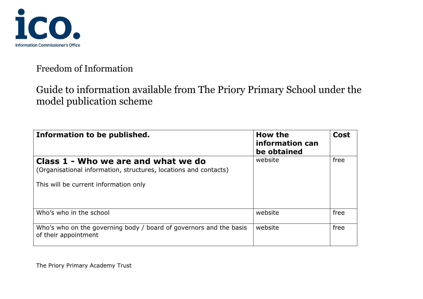

# Guide to information available from The Priory Primary School under the model publication scheme

| Information to be published.                                                                            | How the<br>information can<br>be obtained | <b>Cost</b> |
|---------------------------------------------------------------------------------------------------------|-------------------------------------------|-------------|
| Class 1 - Who we are and what we do<br>(Organisational information, structures, locations and contacts) | website                                   | free        |
| This will be current information only                                                                   |                                           |             |
| Who's who in the school                                                                                 | website                                   | free        |
| Who's who on the governing body / board of governors and the basis<br>of their appointment              | website                                   | free        |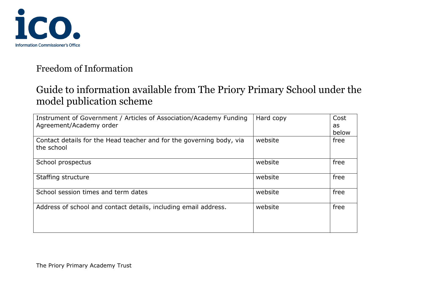

# Guide to information available from The Priory Primary School under the model publication scheme

| Instrument of Government / Articles of Association/Academy Funding<br>Agreement/Academy order | Hard copy | Cost<br>as<br>below |
|-----------------------------------------------------------------------------------------------|-----------|---------------------|
| Contact details for the Head teacher and for the governing body, via<br>the school            | website   | free                |
| School prospectus                                                                             | website   | free                |
| Staffing structure                                                                            | website   | free                |
| School session times and term dates                                                           | website   | free                |
| Address of school and contact details, including email address.                               | website   | free                |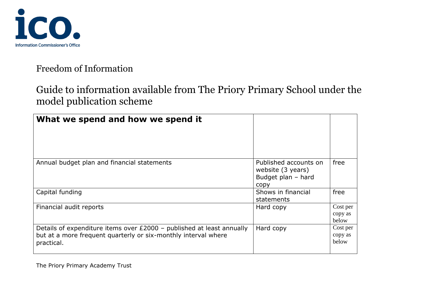

# Guide to information available from The Priory Primary School under the model publication scheme

| What we spend and how we spend it                                                                                                                     |                                                                          |                              |
|-------------------------------------------------------------------------------------------------------------------------------------------------------|--------------------------------------------------------------------------|------------------------------|
| Annual budget plan and financial statements                                                                                                           | Published accounts on<br>website (3 years)<br>Budget plan - hard<br>copy | free                         |
| Capital funding                                                                                                                                       | Shows in financial<br>statements                                         | free                         |
| Financial audit reports                                                                                                                               | Hard copy                                                                | Cost per<br>copy as<br>below |
| Details of expenditure items over £2000 - published at least annually<br>but at a more frequent quarterly or six-monthly interval where<br>practical. | Hard copy                                                                | Cost per<br>copy as<br>below |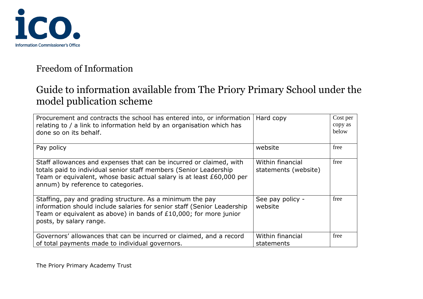

# Guide to information available from The Priory Primary School under the model publication scheme

| Procurement and contracts the school has entered into, or information<br>relating to / a link to information held by an organisation which has<br>done so on its behalf.                                                                                | Hard copy                                | Cost per<br>copy as<br>below |
|---------------------------------------------------------------------------------------------------------------------------------------------------------------------------------------------------------------------------------------------------------|------------------------------------------|------------------------------|
| Pay policy                                                                                                                                                                                                                                              | website                                  | free                         |
| Staff allowances and expenses that can be incurred or claimed, with<br>totals paid to individual senior staff members (Senior Leadership<br>Team or equivalent, whose basic actual salary is at least £60,000 per<br>annum) by reference to categories. | Within financial<br>statements (website) | free                         |
| Staffing, pay and grading structure. As a minimum the pay<br>information should include salaries for senior staff (Senior Leadership<br>Team or equivalent as above) in bands of £10,000; for more junior<br>posts, by salary range.                    | See pay policy -<br>website              | free                         |
| Governors' allowances that can be incurred or claimed, and a record<br>of total payments made to individual governors.                                                                                                                                  | Within financial<br>statements           | free                         |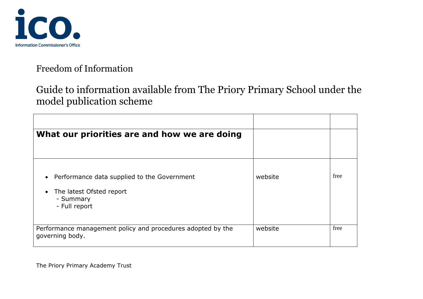

# Guide to information available from The Priory Primary School under the model publication scheme

| What our priorities are and how we are doing                                                          |         |      |
|-------------------------------------------------------------------------------------------------------|---------|------|
|                                                                                                       |         |      |
| Performance data supplied to the Government<br>The latest Ofsted report<br>- Summary<br>- Full report | website | free |
| Performance management policy and procedures adopted by the<br>governing body.                        | website | free |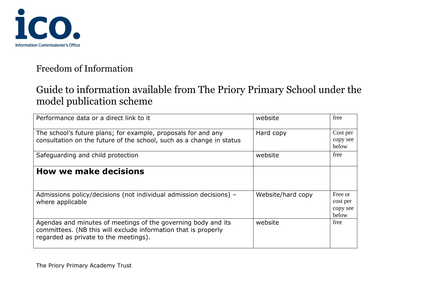

# Guide to information available from The Priory Primary School under the model publication scheme

| Performance data or a direct link to it                                                                                                                                  | website           | free                                     |
|--------------------------------------------------------------------------------------------------------------------------------------------------------------------------|-------------------|------------------------------------------|
| The school's future plans; for example, proposals for and any<br>consultation on the future of the school, such as a change in status                                    | Hard copy         | Cost per<br>copy see<br>below            |
| Safeguarding and child protection                                                                                                                                        | website           | free                                     |
| <b>How we make decisions</b>                                                                                                                                             |                   |                                          |
| Admissions policy/decisions (not individual admission decisions) -<br>where applicable                                                                                   | Website/hard copy | Free or<br>cost per<br>copy see<br>below |
| Agendas and minutes of meetings of the governing body and its<br>committees. (NB this will exclude information that is properly<br>regarded as private to the meetings). | website           | free                                     |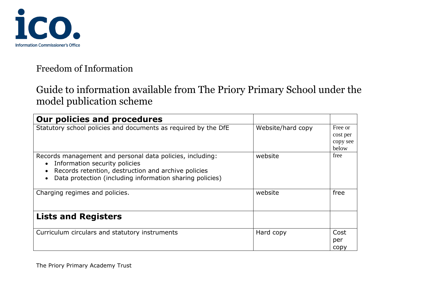

# Guide to information available from The Priory Primary School under the model publication scheme

| <b>Our policies and procedures</b>                                                                                                                                                                            |                   |                                          |
|---------------------------------------------------------------------------------------------------------------------------------------------------------------------------------------------------------------|-------------------|------------------------------------------|
| Statutory school policies and documents as required by the DfE                                                                                                                                                | Website/hard copy | Free or<br>cost per<br>copy see<br>below |
| Records management and personal data policies, including:<br>Information security policies<br>Records retention, destruction and archive policies<br>Data protection (including information sharing policies) | website           | free                                     |
| Charging regimes and policies.                                                                                                                                                                                | website           | free                                     |
| <b>Lists and Registers</b>                                                                                                                                                                                    |                   |                                          |
| Curriculum circulars and statutory instruments                                                                                                                                                                | Hard copy         | Cost<br>per<br>copy                      |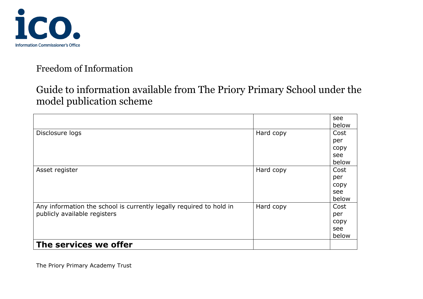

# Guide to information available from The Priory Primary School under the model publication scheme

|                                                                                                     |           | see<br>below                        |
|-----------------------------------------------------------------------------------------------------|-----------|-------------------------------------|
| Disclosure logs                                                                                     | Hard copy | Cost<br>per<br>copy                 |
|                                                                                                     |           | see<br>below                        |
| Asset register                                                                                      | Hard copy | Cost<br>per<br>copy<br>see<br>below |
| Any information the school is currently legally required to hold in<br>publicly available registers | Hard copy | Cost<br>per<br>copy<br>see<br>below |
| The services we offer                                                                               |           |                                     |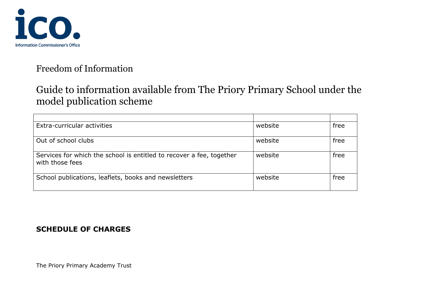

# Guide to information available from The Priory Primary School under the model publication scheme

| Extra-curricular activities                                                             | website | free |
|-----------------------------------------------------------------------------------------|---------|------|
| Out of school clubs                                                                     | website | free |
| Services for which the school is entitled to recover a fee, together<br>with those fees | website | free |
| School publications, leaflets, books and newsletters                                    | website | free |

#### **SCHEDULE OF CHARGES**